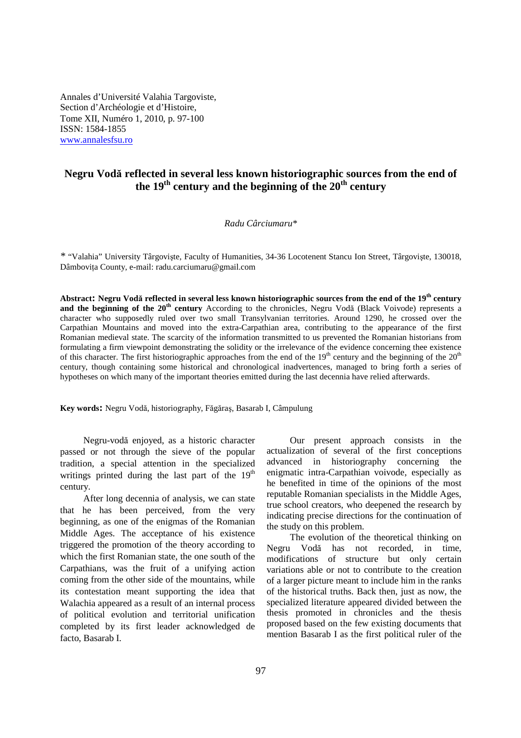Annales d'Université Valahia Targoviste, Section d'Archéologie et d'Histoire, Tome XII, Numéro 1, 2010, p. 97-100 ISSN: 1584-1855 www.annalesfsu.ro

# **Negru Vodă reflected in several less known historiographic sources from the end of the 19th century and the beginning of the 20th century**

#### *Radu Cârciumaru\**

*\** "Valahia" University Târgovişte, Faculty of Humanities, 34-36 Locotenent Stancu Ion Street, Târgovişte, 130018, Dâmboviţa County, e-mail: radu.carciumaru@gmail.com

**Abstract: Negru Vodă reflected in several less known historiographic sources from the end of the 19th century and the beginning of the 20<sup>th</sup> century** According to the chronicles, Negru Vodă (Black Voivode) represents a character who supposedly ruled over two small Transylvanian territories. Around 1290, he crossed over the Carpathian Mountains and moved into the extra-Carpathian area, contributing to the appearance of the first Romanian medieval state. The scarcity of the information transmitted to us prevented the Romanian historians from formulating a firm viewpoint demonstrating the solidity or the irrelevance of the evidence concerning thee existence of this character. The first historiographic approaches from the end of the  $19<sup>th</sup>$  century and the beginning of the  $20<sup>th</sup>$ century, though containing some historical and chronological inadvertences, managed to bring forth a series of hypotheses on which many of the important theories emitted during the last decennia have relied afterwards.

**Key words:** Negru Vodă, historiography, Făgăraş, Basarab I, Câmpulung

Negru-vodă enjoyed, as a historic character passed or not through the sieve of the popular tradition, a special attention in the specialized writings printed during the last part of the  $19<sup>th</sup>$ century.

After long decennia of analysis, we can state that he has been perceived, from the very beginning, as one of the enigmas of the Romanian Middle Ages. The acceptance of his existence triggered the promotion of the theory according to which the first Romanian state, the one south of the Carpathians, was the fruit of a unifying action coming from the other side of the mountains, while its contestation meant supporting the idea that Walachia appeared as a result of an internal process of political evolution and territorial unification completed by its first leader acknowledged de facto, Basarab I.

Our present approach consists in the actualization of several of the first conceptions advanced in historiography concerning the enigmatic intra-Carpathian voivode, especially as he benefited in time of the opinions of the most reputable Romanian specialists in the Middle Ages, true school creators, who deepened the research by indicating precise directions for the continuation of the study on this problem.

The evolution of the theoretical thinking on Negru Vodă has not recorded, in time, modifications of structure but only certain variations able or not to contribute to the creation of a larger picture meant to include him in the ranks of the historical truths. Back then, just as now, the specialized literature appeared divided between the thesis promoted in chronicles and the thesis proposed based on the few existing documents that mention Basarab I as the first political ruler of the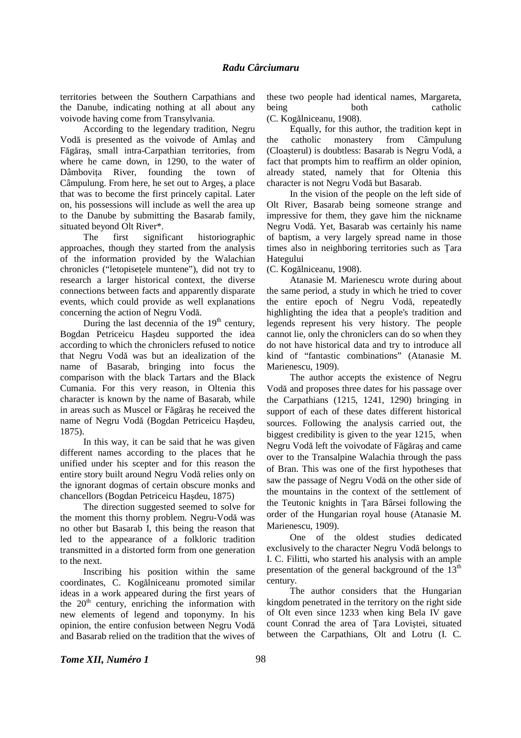territories between the Southern Carpathians and the Danube, indicating nothing at all about any voivode having come from Transylvania.

According to the legendary tradition, Negru Vodă is presented as the voivode of Amlaş and Făgăraş, small intra-Carpathian territories, from where he came down, in 1290, to the water of Dâmbovita River, founding the town of Câmpulung. From here, he set out to Argeş, a place that was to become the first princely capital. Later on, his possessions will include as well the area up to the Danube by submitting the Basarab family, situated beyond Olt River\*.

The first significant historiographic approaches, though they started from the analysis of the information provided by the Walachian chronicles ("letopiseţele muntene"), did not try to research a larger historical context, the diverse connections between facts and apparently disparate events, which could provide as well explanations concerning the action of Negru Vodă.

During the last decennia of the  $19<sup>th</sup>$  century, Bogdan Petriceicu Haşdeu supported the idea according to which the chroniclers refused to notice that Negru Vodă was but an idealization of the name of Basarab, bringing into focus the comparison with the black Tartars and the Black Cumania. For this very reason, in Oltenia this character is known by the name of Basarab, while in areas such as Muscel or Făgăraş he received the name of Negru Vodă (Bogdan Petriceicu Haşdeu, 1875).

In this way, it can be said that he was given different names according to the places that he unified under his scepter and for this reason the entire story built around Negru Vodă relies only on the ignorant dogmas of certain obscure monks and chancellors (Bogdan Petriceicu Haşdeu, 1875)

The direction suggested seemed to solve for the moment this thorny problem. Negru-Vodă was no other but Basarab I, this being the reason that led to the appearance of a folkloric tradition transmitted in a distorted form from one generation to the next.

Inscribing his position within the same coordinates, C. Kogălniceanu promoted similar ideas in a work appeared during the first years of the  $20<sup>th</sup>$  century, enriching the information with new elements of legend and toponymy. In his opinion, the entire confusion between Negru Vodă and Basarab relied on the tradition that the wives of these two people had identical names, Margareta, being both catholic (C. Kogălniceanu, 1908).

Equally, for this author, the tradition kept in the catholic monastery from Câmpulung (Cloaşterul) is doubtless: Basarab is Negru Vodă, a fact that prompts him to reaffirm an older opinion, already stated, namely that for Oltenia this character is not Negru Vodă but Basarab.

In the vision of the people on the left side of Olt River, Basarab being someone strange and impressive for them, they gave him the nickname Negru Vodă. Yet, Basarab was certainly his name of baptism, a very largely spread name in those times also in neighboring territories such as Ţara Hategului

(C. Kogălniceanu, 1908).

Atanasie M. Marienescu wrote during about the same period, a study in which he tried to cover the entire epoch of Negru Vodă, repeatedly highlighting the idea that a people's tradition and legends represent his very history. The people cannot lie, only the chroniclers can do so when they do not have historical data and try to introduce all kind of "fantastic combinations" (Atanasie M. Marienescu, 1909).

The author accepts the existence of Negru Vodă and proposes three dates for his passage over the Carpathians (1215, 1241, 1290) bringing in support of each of these dates different historical sources. Following the analysis carried out, the biggest credibility is given to the year 1215, when Negru Vodă left the voivodate of Făgăraş and came over to the Transalpine Walachia through the pass of Bran. This was one of the first hypotheses that saw the passage of Negru Vodă on the other side of the mountains in the context of the settlement of the Teutonic knights in Ţara Bârsei following the order of the Hungarian royal house (Atanasie M. Marienescu, 1909).

One of the oldest studies dedicated exclusively to the character Negru Vodă belongs to I. C. Filitti, who started his analysis with an ample presentation of the general background of the  $13<sup>th</sup>$ century.

The author considers that the Hungarian kingdom penetrated in the territory on the right side of Olt even since 1233 when king Bela IV gave count Conrad the area of Ţara Loviştei, situated between the Carpathians, Olt and Lotru (I. C.

### *Tome XII, Numéro 1* 98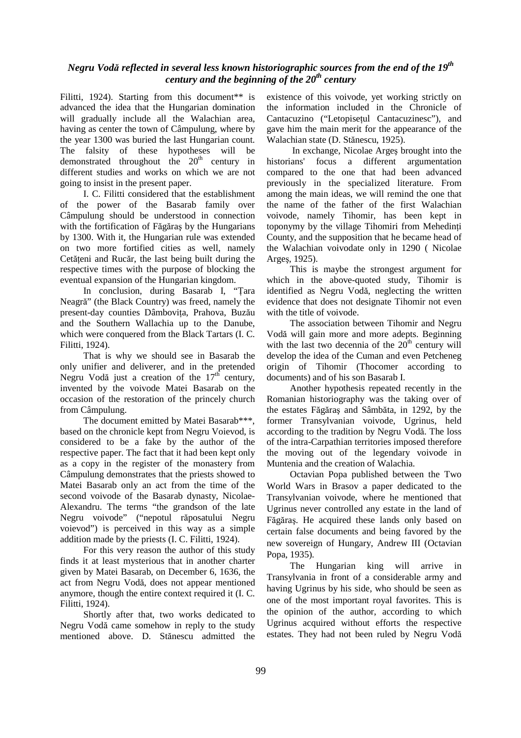## *Negru Vodă reflected in several less known historiographic sources from the end of the 19th century and the beginning of the 20th century*

Filitti, 1924). Starting from this document\*\* is advanced the idea that the Hungarian domination will gradually include all the Walachian area, having as center the town of Câmpulung, where by the year 1300 was buried the last Hungarian count. The falsity of these hypotheses will be demonstrated throughout the  $20<sup>th</sup>$  century in different studies and works on which we are not going to insist in the present paper.

I. C. Filitti considered that the establishment of the power of the Basarab family over Câmpulung should be understood in connection with the fortification of Făgăraş by the Hungarians by 1300. With it, the Hungarian rule was extended on two more fortified cities as well, namely Cetățeni and Rucăr, the last being built during the respective times with the purpose of blocking the eventual expansion of the Hungarian kingdom.

In conclusion, during Basarab I, "Ţara Neagră" (the Black Country) was freed, namely the present-day counties Dâmbovita, Prahova, Buzău and the Southern Wallachia up to the Danube, which were conquered from the Black Tartars (I. C. Filitti, 1924).

That is why we should see in Basarab the only unifier and deliverer, and in the pretended Negru Vodă just a creation of the  $17<sup>th</sup>$  century, invented by the voivode Matei Basarab on the occasion of the restoration of the princely church from Câmpulung.

The document emitted by Matei Basarab\*\*\*, based on the chronicle kept from Negru Voievod, is considered to be a fake by the author of the respective paper. The fact that it had been kept only as a copy in the register of the monastery from Câmpulung demonstrates that the priests showed to Matei Basarab only an act from the time of the second voivode of the Basarab dynasty, Nicolae-Alexandru. The terms "the grandson of the late Negru voivode" ("nepotul răposatului Negru voievod") is perceived in this way as a simple addition made by the priests (I. C. Filitti, 1924).

For this very reason the author of this study finds it at least mysterious that in another charter given by Matei Basarab, on December 6, 1636, the act from Negru Vodă, does not appear mentioned anymore, though the entire context required it (I. C. Filitti, 1924).

Shortly after that, two works dedicated to Negru Vodă came somehow in reply to the study mentioned above. D. Stănescu admitted the existence of this voivode, yet working strictly on the information included in the Chronicle of Cantacuzino ("Letopiseţul Cantacuzinesc"), and gave him the main merit for the appearance of the Walachian state (D. Stănescu, 1925).

 In exchange, Nicolae Argeş brought into the historians' focus a different argumentation compared to the one that had been advanced previously in the specialized literature. From among the main ideas, we will remind the one that the name of the father of the first Walachian voivode, namely Tihomir, has been kept in toponymy by the village Tihomiri from Mehedinti County, and the supposition that he became head of the Walachian voivodate only in 1290 ( Nicolae Argeş, 1925).

This is maybe the strongest argument for which in the above-quoted study, Tihomir is identified as Negru Vodă, neglecting the written evidence that does not designate Tihomir not even with the title of voivode.

The association between Tihomir and Negru Vodă will gain more and more adepts. Beginning with the last two decennia of the  $20<sup>th</sup>$  century will develop the idea of the Cuman and even Petcheneg origin of Tihomir (Thocomer according to documents) and of his son Basarab I.

Another hypothesis repeated recently in the Romanian historiography was the taking over of the estates Făgăraş and Sâmbăta, in 1292, by the former Transylvanian voivode, Ugrinus, held according to the tradition by Negru Vodă. The loss of the intra-Carpathian territories imposed therefore the moving out of the legendary voivode in Muntenia and the creation of Walachia.

Octavian Popa published between the Two World Wars in Brasov a paper dedicated to the Transylvanian voivode, where he mentioned that Ugrinus never controlled any estate in the land of Făgăraş. He acquired these lands only based on certain false documents and being favored by the new sovereign of Hungary, Andrew III (Octavian Popa, 1935).

The Hungarian king will arrive in Transylvania in front of a considerable army and having Ugrinus by his side, who should be seen as one of the most important royal favorites. This is the opinion of the author, according to which Ugrinus acquired without efforts the respective estates. They had not been ruled by Negru Vodă